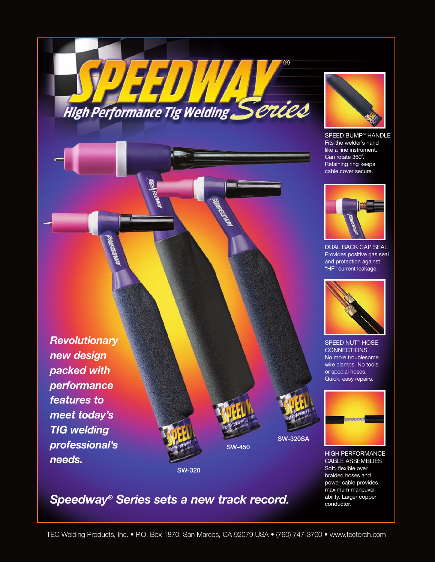33, High Performance Tig Welding Series



SPEED BUMP™ HANDLE Fits the welder's hand like a fine instrument. Can rotate 360˚. Retaining ring keeps cable cover secure.



DUAL BACK CAP SEAL Provides positive gas seal and protection against "HF" current leakage.



SPEED NUT<sup>™</sup> HOSE **CONNECTIONS** No more troublesome wire clamps. No tools or special hoses. Quick, easy repairs.



HIGH PERFORMANCE CABLE ASSEMBLIES Soft, flexible over braided hoses and power cable provides maximum maneuverability. Larger copper conductor.

SW-320

*Revolutionary*

*new design*

*packed with*

*performance*

*meet today's*

*TIG welding*

*needs.*

*professional's*

*features to*

# *Speedway® Series sets a new track record.*

SW-450

SW-320SA